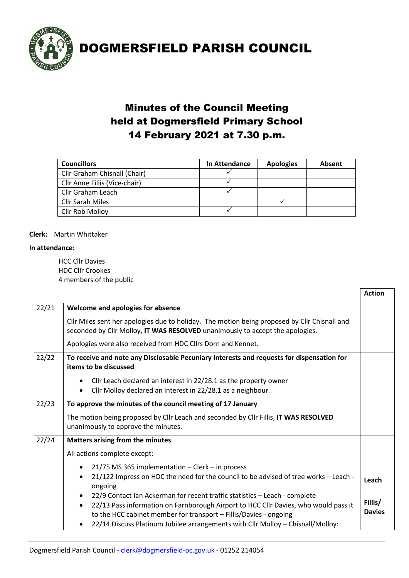

### Minutes of the Council Meeting held at Dogmersfield Primary School 14 February 2021 at 7.30 p.m.

| <b>Councillors</b>            | In Attendance | <b>Apologies</b> | Absent |
|-------------------------------|---------------|------------------|--------|
| Cllr Graham Chisnall (Chair)  |               |                  |        |
| Cllr Anne Fillis (Vice-chair) |               |                  |        |
| Cllr Graham Leach             |               |                  |        |
| Cllr Sarah Miles              |               |                  |        |
| Cllr Rob Molloy               |               |                  |        |

#### **Clerk:** Martin Whittaker

#### **In attendance:**

HCC Cllr Davies HDC Cllr Crookes 4 members of the public

|       |                                                                                                                                                                                                                                                                                                                           | <b>Action</b>            |  |
|-------|---------------------------------------------------------------------------------------------------------------------------------------------------------------------------------------------------------------------------------------------------------------------------------------------------------------------------|--------------------------|--|
| 22/21 | Welcome and apologies for absence                                                                                                                                                                                                                                                                                         |                          |  |
|       | Cllr Miles sent her apologies due to holiday. The motion being proposed by Cllr Chisnall and<br>seconded by Cllr Molloy, IT WAS RESOLVED unanimously to accept the apologies.                                                                                                                                             |                          |  |
|       | Apologies were also received from HDC Cllrs Dorn and Kennet.                                                                                                                                                                                                                                                              |                          |  |
| 22/22 | To receive and note any Disclosable Pecuniary Interests and requests for dispensation for<br>items to be discussed                                                                                                                                                                                                        |                          |  |
|       | Cllr Leach declared an interest in 22/28.1 as the property owner<br>Cllr Molloy declared an interest in 22/28.1 as a neighbour.                                                                                                                                                                                           |                          |  |
| 22/23 | To approve the minutes of the council meeting of 17 January                                                                                                                                                                                                                                                               |                          |  |
|       | The motion being proposed by Cllr Leach and seconded by Cllr Fillis, IT WAS RESOLVED<br>unanimously to approve the minutes.                                                                                                                                                                                               |                          |  |
| 22/24 | <b>Matters arising from the minutes</b>                                                                                                                                                                                                                                                                                   |                          |  |
|       | All actions complete except:                                                                                                                                                                                                                                                                                              |                          |  |
|       | 21/75 MS 365 implementation - Clerk - in process<br>$\bullet$                                                                                                                                                                                                                                                             |                          |  |
|       | 21/122 Impress on HDC the need for the council to be advised of tree works - Leach -<br>ongoing                                                                                                                                                                                                                           | Leach                    |  |
|       | 22/9 Contact Ian Ackerman for recent traffic statistics - Leach - complete<br>22/13 Pass information on Farnborough Airport to HCC Cllr Davies, who would pass it<br>to the HCC cabinet member for transport - Fillis/Davies - ongoing<br>22/14 Discuss Platinum Jubilee arrangements with Cllr Molloy - Chisnall/Molloy: | Fillis/<br><b>Davies</b> |  |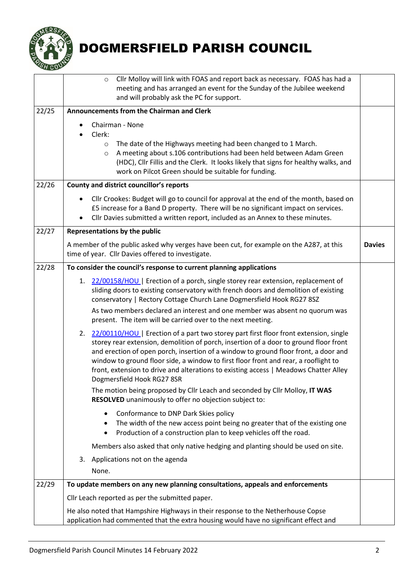

<span id="page-1-0"></span>

|       | Cllr Molloy will link with FOAS and report back as necessary. FOAS has had a<br>$\circ$<br>meeting and has arranged an event for the Sunday of the Jubilee weekend                                                                                                                                                                                                                                                                                                                       |  |  |  |
|-------|------------------------------------------------------------------------------------------------------------------------------------------------------------------------------------------------------------------------------------------------------------------------------------------------------------------------------------------------------------------------------------------------------------------------------------------------------------------------------------------|--|--|--|
|       | and will probably ask the PC for support.                                                                                                                                                                                                                                                                                                                                                                                                                                                |  |  |  |
| 22/25 | Announcements from the Chairman and Clerk                                                                                                                                                                                                                                                                                                                                                                                                                                                |  |  |  |
|       | Chairman - None<br>Clerk:<br>The date of the Highways meeting had been changed to 1 March.<br>$\circ$<br>A meeting about s.106 contributions had been held between Adam Green<br>$\circ$<br>(HDC), Cllr Fillis and the Clerk. It looks likely that signs for healthy walks, and<br>work on Pilcot Green should be suitable for funding.                                                                                                                                                  |  |  |  |
| 22/26 | <b>County and district councillor's reports</b>                                                                                                                                                                                                                                                                                                                                                                                                                                          |  |  |  |
|       | Cllr Crookes: Budget will go to council for approval at the end of the month, based on<br>$\bullet$<br>£5 increase for a Band D property. There will be no significant impact on services.<br>Cllr Davies submitted a written report, included as an Annex to these minutes.                                                                                                                                                                                                             |  |  |  |
| 22/27 | Representations by the public                                                                                                                                                                                                                                                                                                                                                                                                                                                            |  |  |  |
|       | A member of the public asked why verges have been cut, for example on the A287, at this<br><b>Davies</b><br>time of year. Cllr Davies offered to investigate.                                                                                                                                                                                                                                                                                                                            |  |  |  |
| 22/28 | To consider the council's response to current planning applications                                                                                                                                                                                                                                                                                                                                                                                                                      |  |  |  |
|       | 1. 22/00158/HOU   Erection of a porch, single storey rear extension, replacement of<br>sliding doors to existing conservatory with french doors and demolition of existing<br>conservatory   Rectory Cottage Church Lane Dogmersfield Hook RG27 8SZ                                                                                                                                                                                                                                      |  |  |  |
|       | As two members declared an interest and one member was absent no quorum was<br>present. The item will be carried over to the next meeting.                                                                                                                                                                                                                                                                                                                                               |  |  |  |
|       | 22/00110/HOU   Erection of a part two storey part first floor front extension, single<br>2.<br>storey rear extension, demolition of porch, insertion of a door to ground floor front<br>and erection of open porch, insertion of a window to ground floor front, a door and<br>window to ground floor side, a window to first floor front and rear, a rooflight to<br>front, extension to drive and alterations to existing access   Meadows Chatter Alley<br>Dogmersfield Hook RG27 8SR |  |  |  |
|       | The motion being proposed by Cllr Leach and seconded by Cllr Molloy, IT WAS<br>RESOLVED unanimously to offer no objection subject to:                                                                                                                                                                                                                                                                                                                                                    |  |  |  |
|       | Conformance to DNP Dark Skies policy<br>The width of the new access point being no greater that of the existing one<br>٠<br>Production of a construction plan to keep vehicles off the road.<br>$\bullet$                                                                                                                                                                                                                                                                                |  |  |  |
|       | Members also asked that only native hedging and planting should be used on site.                                                                                                                                                                                                                                                                                                                                                                                                         |  |  |  |
|       | Applications not on the agenda<br>3.<br>None.                                                                                                                                                                                                                                                                                                                                                                                                                                            |  |  |  |
| 22/29 | To update members on any new planning consultations, appeals and enforcements                                                                                                                                                                                                                                                                                                                                                                                                            |  |  |  |
|       | Cllr Leach reported as per the submitted paper.                                                                                                                                                                                                                                                                                                                                                                                                                                          |  |  |  |
|       | He also noted that Hampshire Highways in their response to the Netherhouse Copse<br>application had commented that the extra housing would have no significant effect and                                                                                                                                                                                                                                                                                                                |  |  |  |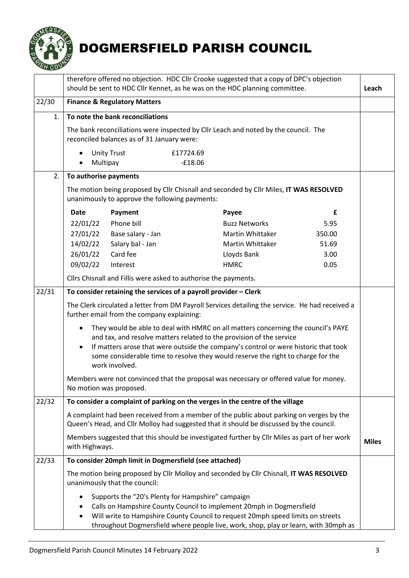

|       | therefore offered no objection. HDC Cllr Crooke suggested that a copy of DPC's objection<br>should be sent to HDC Cllr Kennet, as he was on the HDC planning committee.                                                                                                                                                                                             |                                                        |                                                                                        | Leach        |  |
|-------|---------------------------------------------------------------------------------------------------------------------------------------------------------------------------------------------------------------------------------------------------------------------------------------------------------------------------------------------------------------------|--------------------------------------------------------|----------------------------------------------------------------------------------------|--------------|--|
| 22/30 | <b>Finance &amp; Regulatory Matters</b>                                                                                                                                                                                                                                                                                                                             |                                                        |                                                                                        |              |  |
| 1.    | To note the bank reconciliations                                                                                                                                                                                                                                                                                                                                    | reconciled balances as of 31 January were:             | The bank reconciliations were inspected by Cllr Leach and noted by the council. The    |              |  |
|       | <b>Unity Trust</b><br>Multipay<br>$\bullet$                                                                                                                                                                                                                                                                                                                         | £17724.69<br>$-£18.06$                                 |                                                                                        |              |  |
| 2.    | To authorise payments                                                                                                                                                                                                                                                                                                                                               |                                                        |                                                                                        |              |  |
|       |                                                                                                                                                                                                                                                                                                                                                                     | unanimously to approve the following payments:         | The motion being proposed by Cllr Chisnall and seconded by Cllr Miles, IT WAS RESOLVED |              |  |
|       | <b>Date</b><br>Payment                                                                                                                                                                                                                                                                                                                                              |                                                        | Payee                                                                                  | £            |  |
|       | Phone bill<br>22/01/22                                                                                                                                                                                                                                                                                                                                              |                                                        | <b>Buzz Networks</b>                                                                   | 5.95         |  |
|       | 27/01/22                                                                                                                                                                                                                                                                                                                                                            | Base salary - Jan                                      | Martin Whittaker                                                                       | 350.00       |  |
|       | 14/02/22                                                                                                                                                                                                                                                                                                                                                            | Salary bal - Jan                                       | <b>Martin Whittaker</b>                                                                | 51.69        |  |
|       | 26/01/22<br>Card fee                                                                                                                                                                                                                                                                                                                                                |                                                        | Lloyds Bank                                                                            | 3.00         |  |
|       | 09/02/22<br>Interest                                                                                                                                                                                                                                                                                                                                                |                                                        | <b>HMRC</b>                                                                            | 0.05         |  |
|       | Cllrs Chisnall and Fillis were asked to authorise the payments.                                                                                                                                                                                                                                                                                                     |                                                        |                                                                                        |              |  |
| 22/31 | To consider retaining the services of a payroll provider $-$ Clerk                                                                                                                                                                                                                                                                                                  |                                                        |                                                                                        |              |  |
|       | The Clerk circulated a letter from DM Payroll Services detailing the service. He had received a<br>further email from the company explaining:                                                                                                                                                                                                                       |                                                        |                                                                                        |              |  |
|       | They would be able to deal with HMRC on all matters concerning the council's PAYE<br>$\bullet$<br>and tax, and resolve matters related to the provision of the service<br>If matters arose that were outside the company's control or were historic that took<br>some considerable time to resolve they would reserve the right to charge for the<br>work involved. |                                                        |                                                                                        |              |  |
|       | Members were not convinced that the proposal was necessary or offered value for money.<br>No motion was proposed.                                                                                                                                                                                                                                                   |                                                        |                                                                                        |              |  |
| 22/32 | To consider a complaint of parking on the verges in the centre of the village                                                                                                                                                                                                                                                                                       |                                                        |                                                                                        |              |  |
|       | A complaint had been received from a member of the public about parking on verges by the<br>Queen's Head, and Cllr Molloy had suggested that it should be discussed by the council.                                                                                                                                                                                 |                                                        |                                                                                        |              |  |
|       | Members suggested that this should be investigated further by Cllr Miles as part of her work<br>with Highways.                                                                                                                                                                                                                                                      |                                                        |                                                                                        | <b>Miles</b> |  |
| 22/33 |                                                                                                                                                                                                                                                                                                                                                                     | To consider 20mph limit in Dogmersfield (see attached) |                                                                                        |              |  |
|       | The motion being proposed by Cllr Molloy and seconded by Cllr Chisnall, IT WAS RESOLVED<br>unanimously that the council:                                                                                                                                                                                                                                            |                                                        |                                                                                        |              |  |
|       | Supports the "20's Plenty for Hampshire" campaign<br>Calls on Hampshire County Council to implement 20mph in Dogmersfield<br>Will write to Hampshire County Council to request 20mph speed limits on streets<br>throughout Dogmersfield where people live, work, shop, play or learn, with 30mph as                                                                 |                                                        |                                                                                        |              |  |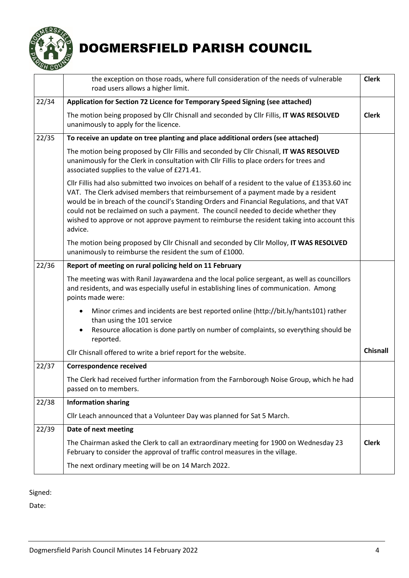

|       | the exception on those roads, where full consideration of the needs of vulnerable<br>road users allows a higher limit.                                                                                                                                                                                                                                                                                                                                                                |                 |  |
|-------|---------------------------------------------------------------------------------------------------------------------------------------------------------------------------------------------------------------------------------------------------------------------------------------------------------------------------------------------------------------------------------------------------------------------------------------------------------------------------------------|-----------------|--|
| 22/34 | Application for Section 72 Licence for Temporary Speed Signing (see attached)                                                                                                                                                                                                                                                                                                                                                                                                         |                 |  |
|       | The motion being proposed by Cllr Chisnall and seconded by Cllr Fillis, IT WAS RESOLVED<br>unanimously to apply for the licence.                                                                                                                                                                                                                                                                                                                                                      | <b>Clerk</b>    |  |
| 22/35 | To receive an update on tree planting and place additional orders (see attached)                                                                                                                                                                                                                                                                                                                                                                                                      |                 |  |
|       | The motion being proposed by Cllr Fillis and seconded by Cllr Chisnall, IT WAS RESOLVED<br>unanimously for the Clerk in consultation with Cllr Fillis to place orders for trees and<br>associated supplies to the value of £271.41.                                                                                                                                                                                                                                                   |                 |  |
|       | Cllr Fillis had also submitted two invoices on behalf of a resident to the value of £1353.60 inc<br>VAT. The Clerk advised members that reimbursement of a payment made by a resident<br>would be in breach of the council's Standing Orders and Financial Regulations, and that VAT<br>could not be reclaimed on such a payment. The council needed to decide whether they<br>wished to approve or not approve payment to reimburse the resident taking into account this<br>advice. |                 |  |
|       | The motion being proposed by Cllr Chisnall and seconded by Cllr Molloy, IT WAS RESOLVED<br>unanimously to reimburse the resident the sum of £1000.                                                                                                                                                                                                                                                                                                                                    |                 |  |
| 22/36 | Report of meeting on rural policing held on 11 February                                                                                                                                                                                                                                                                                                                                                                                                                               |                 |  |
|       | The meeting was with Ranil Jayawardena and the local police sergeant, as well as councillors<br>and residents, and was especially useful in establishing lines of communication. Among<br>points made were:                                                                                                                                                                                                                                                                           |                 |  |
|       | Minor crimes and incidents are best reported online (http://bit.ly/hants101) rather<br>than using the 101 service<br>Resource allocation is done partly on number of complaints, so everything should be                                                                                                                                                                                                                                                                              |                 |  |
|       | reported.                                                                                                                                                                                                                                                                                                                                                                                                                                                                             |                 |  |
|       | Cllr Chisnall offered to write a brief report for the website.                                                                                                                                                                                                                                                                                                                                                                                                                        | <b>Chisnall</b> |  |
| 22/37 | <b>Correspondence received</b>                                                                                                                                                                                                                                                                                                                                                                                                                                                        |                 |  |
|       | The Clerk had received further information from the Farnborough Noise Group, which he had<br>passed on to members.                                                                                                                                                                                                                                                                                                                                                                    |                 |  |
| 22/38 | <b>Information sharing</b>                                                                                                                                                                                                                                                                                                                                                                                                                                                            |                 |  |
|       | Cllr Leach announced that a Volunteer Day was planned for Sat 5 March.                                                                                                                                                                                                                                                                                                                                                                                                                |                 |  |
| 22/39 | Date of next meeting                                                                                                                                                                                                                                                                                                                                                                                                                                                                  |                 |  |
|       | The Chairman asked the Clerk to call an extraordinary meeting for 1900 on Wednesday 23<br>February to consider the approval of traffic control measures in the village.                                                                                                                                                                                                                                                                                                               | <b>Clerk</b>    |  |
|       | The next ordinary meeting will be on 14 March 2022.                                                                                                                                                                                                                                                                                                                                                                                                                                   |                 |  |

Signed:

Date: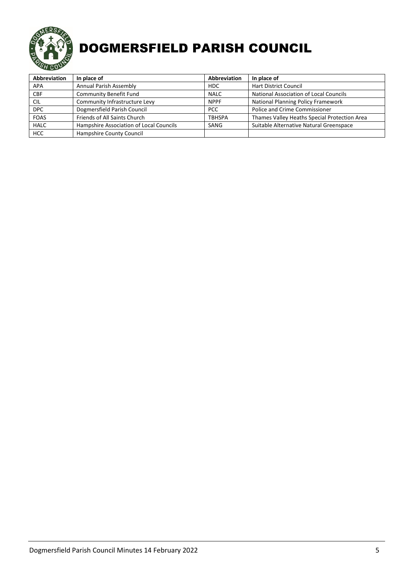

| <b>Abbreviation</b> | In place of                             | Abbreviation    | In place of                                   |
|---------------------|-----------------------------------------|-----------------|-----------------------------------------------|
| <b>APA</b>          | Annual Parish Assembly                  | H <sub>DC</sub> | <b>Hart District Council</b>                  |
| <b>CBF</b>          | Community Benefit Fund                  | <b>NALC</b>     | <b>National Association of Local Councils</b> |
| <b>CIL</b>          | Community Infrastructure Levy           | <b>NPPF</b>     | National Planning Policy Framework            |
| <b>DPC</b>          | Dogmersfield Parish Council             | PCC.            | <b>Police and Crime Commissioner</b>          |
| <b>FOAS</b>         | Friends of All Saints Church            | <b>TBHSPA</b>   | Thames Valley Heaths Special Protection Area  |
| <b>HALC</b>         | Hampshire Association of Local Councils | SANG            | Suitable Alternative Natural Greenspace       |
| <b>HCC</b>          | Hampshire County Council                |                 |                                               |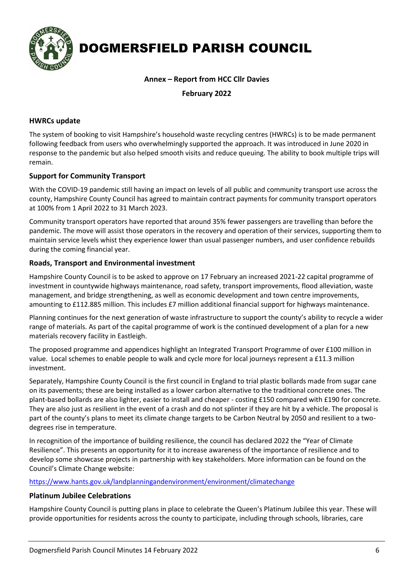

#### **Annex – Report from HCC Cllr Davies**

**February 2022**

#### **HWRCs update**

The system of booking to visit Hampshire's household waste recycling centres (HWRCs) is to be made permanent following feedback from users who overwhelmingly supported the approach. It was introduced in June 2020 in response to the pandemic but also helped smooth visits and reduce queuing. The ability to book multiple trips will remain.

#### **Support for Community Transport**

With the COVID-19 pandemic still having an impact on levels of all public and community transport use across the county, Hampshire County Council has agreed to maintain contract payments for community transport operators at 100% from 1 April 2022 to 31 March 2023.

Community transport operators have reported that around 35% fewer passengers are travelling than before the pandemic. The move will assist those operators in the recovery and operation of their services, supporting them to maintain service levels whist they experience lower than usual passenger numbers, and user confidence rebuilds during the coming financial year.

#### **Roads, Transport and Environmental investment**

Hampshire County Council is to be asked to approve on 17 February an increased 2021-22 capital programme of investment in countywide highways maintenance, road safety, transport improvements, flood alleviation, waste management, and bridge strengthening, as well as economic development and town centre improvements, amounting to £112.885 million. This includes £7 million additional financial support for highways maintenance.

Planning continues for the next generation of waste infrastructure to support the county's ability to recycle a wider range of materials. As part of the capital programme of work is the continued development of a plan for a new materials recovery facility in Eastleigh.

The proposed programme and appendices highlight an Integrated Transport Programme of over £100 million in value. Local schemes to enable people to walk and cycle more for local journeys represent a £11.3 million investment.

Separately, Hampshire County Council is the first council in England to trial plastic bollards made from sugar cane on its pavements; these are being installed as a lower carbon alternative to the traditional concrete ones. The plant-based bollards are also lighter, easier to install and cheaper - costing £150 compared with £190 for concrete. They are also just as resilient in the event of a crash and do not splinter if they are hit by a vehicle. The proposal is part of the county's plans to meet its climate change targets to be Carbon Neutral by 2050 and resilient to a twodegrees rise in temperature.

In recognition of the importance of building resilience, the council has declared 2022 the "Year of Climate Resilience". This presents an opportunity for it to increase awareness of the importance of resilience and to develop some showcase projects in partnership with key stakeholders. More information can be found on the Council's Climate Change website:

<https://www.hants.gov.uk/landplanningandenvironment/environment/climatechange>

#### **Platinum Jubilee Celebrations**

Hampshire County Council is putting plans in place to celebrate the Queen's Platinum Jubilee this year. These will provide opportunities for residents across the county to participate, including through schools, libraries, care